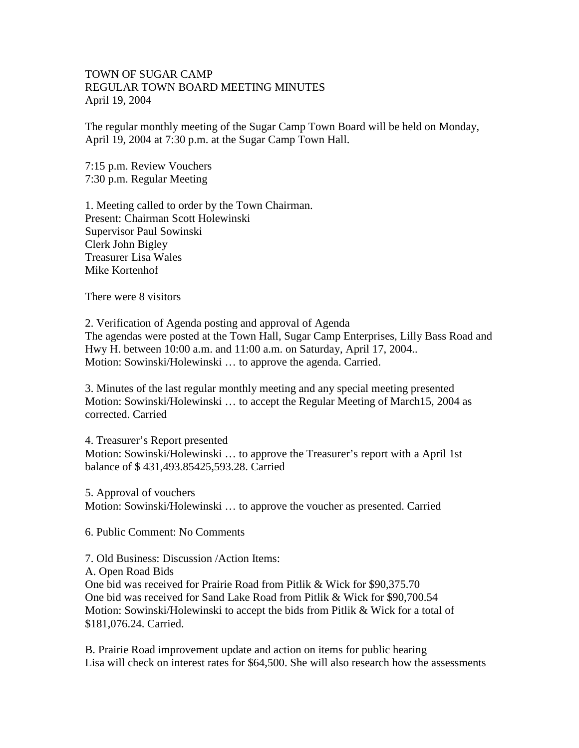## TOWN OF SUGAR CAMP REGULAR TOWN BOARD MEETING MINUTES April 19, 2004

The regular monthly meeting of the Sugar Camp Town Board will be held on Monday, April 19, 2004 at 7:30 p.m. at the Sugar Camp Town Hall.

7:15 p.m. Review Vouchers 7:30 p.m. Regular Meeting

1. Meeting called to order by the Town Chairman. Present: Chairman Scott Holewinski Supervisor Paul Sowinski Clerk John Bigley Treasurer Lisa Wales Mike Kortenhof

There were 8 visitors

2. Verification of Agenda posting and approval of Agenda The agendas were posted at the Town Hall, Sugar Camp Enterprises, Lilly Bass Road and Hwy H. between 10:00 a.m. and 11:00 a.m. on Saturday, April 17, 2004.. Motion: Sowinski/Holewinski … to approve the agenda. Carried.

3. Minutes of the last regular monthly meeting and any special meeting presented Motion: Sowinski/Holewinski … to accept the Regular Meeting of March15, 2004 as corrected. Carried

4. Treasurer's Report presented Motion: Sowinski/Holewinski … to approve the Treasurer's report with a April 1st balance of \$ 431,493.85425,593.28. Carried

5. Approval of vouchers Motion: Sowinski/Holewinski … to approve the voucher as presented. Carried

6. Public Comment: No Comments

7. Old Business: Discussion /Action Items:

A. Open Road Bids

One bid was received for Prairie Road from Pitlik & Wick for \$90,375.70 One bid was received for Sand Lake Road from Pitlik & Wick for \$90,700.54 Motion: Sowinski/Holewinski to accept the bids from Pitlik & Wick for a total of \$181,076.24. Carried.

B. Prairie Road improvement update and action on items for public hearing Lisa will check on interest rates for \$64,500. She will also research how the assessments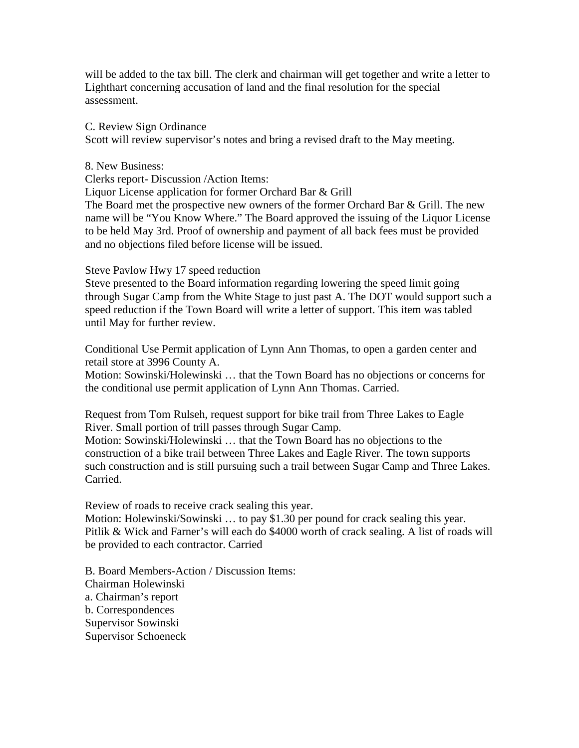will be added to the tax bill. The clerk and chairman will get together and write a letter to Lighthart concerning accusation of land and the final resolution for the special assessment.

C. Review Sign Ordinance

Scott will review supervisor's notes and bring a revised draft to the May meeting.

8. New Business:

Clerks report- Discussion /Action Items:

Liquor License application for former Orchard Bar & Grill

The Board met the prospective new owners of the former Orchard Bar & Grill. The new name will be "You Know Where." The Board approved the issuing of the Liquor License to be held May 3rd. Proof of ownership and payment of all back fees must be provided and no objections filed before license will be issued.

Steve Pavlow Hwy 17 speed reduction

Steve presented to the Board information regarding lowering the speed limit going through Sugar Camp from the White Stage to just past A. The DOT would support such a speed reduction if the Town Board will write a letter of support. This item was tabled until May for further review.

Conditional Use Permit application of Lynn Ann Thomas, to open a garden center and retail store at 3996 County A.

Motion: Sowinski/Holewinski … that the Town Board has no objections or concerns for the conditional use permit application of Lynn Ann Thomas. Carried.

Request from Tom Rulseh, request support for bike trail from Three Lakes to Eagle River. Small portion of trill passes through Sugar Camp.

Motion: Sowinski/Holewinski … that the Town Board has no objections to the construction of a bike trail between Three Lakes and Eagle River. The town supports such construction and is still pursuing such a trail between Sugar Camp and Three Lakes. Carried.

Review of roads to receive crack sealing this year.

Motion: Holewinski/Sowinski ... to pay \$1.30 per pound for crack sealing this year. Pitlik & Wick and Farner's will each do \$4000 worth of crack sealing. A list of roads will be provided to each contractor. Carried

B. Board Members-Action / Discussion Items: Chairman Holewinski a. Chairman's report b. Correspondences Supervisor Sowinski Supervisor Schoeneck